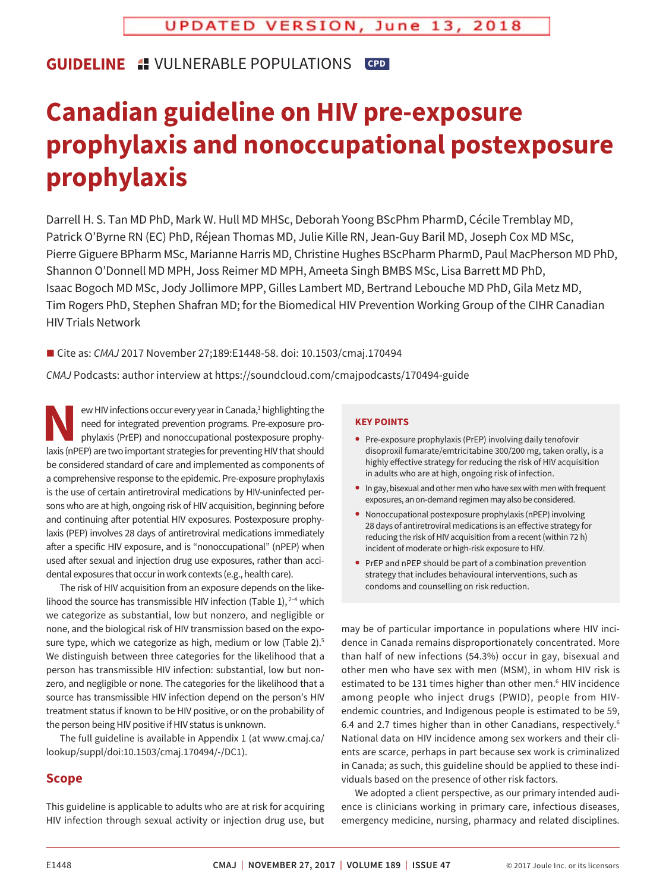#### **UPDATED VERSION, June 13,** 2018

# **GUIDELINE** VULNERABLE POPULATIONS **CPD**

# **Canadian guideline on HIV pre-exposure prophylaxis and nonoccupational postexposure prophylaxis**

Darrell H. S. Tan MD PhD, Mark W. Hull MD MHSc, Deborah Yoong BScPhm PharmD, Cécile Tremblay MD, Patrick O'Byrne RN (EC) PhD, Réjean Thomas MD, Julie Kille RN, Jean-Guy Baril MD, Joseph Cox MD MSc, Pierre Giguere BPharm MSc, Marianne Harris MD, Christine Hughes BScPharm PharmD, Paul MacPherson MD PhD, Shannon O'Donnell MD MPH, Joss Reimer MD MPH, Ameeta Singh BMBS MSc, Lisa Barrett MD PhD, Isaac Bogoch MD MSc, Jody Jollimore MPP, Gilles Lambert MD, Bertrand Lebouche MD PhD, Gila Metz MD, Tim Rogers PhD, Stephen Shafran MD; for the Biomedical HIV Prevention Working Group of the CIHR Canadian HIV Trials Network

■ Cite as: *CMAJ* 2017 November 27;189:E1448-58. doi: 10.1503/cmaj.170494

*CMAJ* Podcasts: author interview at https://soundcloud.com/cmajpodcasts/170494-guide

EW HIV infections occur every year in Canada,<sup>1</sup><br>need for integrated prevention programs. Pr<br>phylaxis (PFEP) and nonoccupational postex<br>laxis (nPEP) are two important strategies for preventing ew HIV infections occur every year in Canada,<sup>1</sup> highlighting the need for integrated prevention programs. Pre-exposure prophylaxis (PrEP) and nonoccupational postexposure prophylaxis (nPEP) are two important strategies for preventing HIV that should be considered standard of care and implemented as components of a comprehensive response to the epidemic. Pre-exposure prophylaxis is the use of certain antiretroviral medications by HIV-uninfected persons who are at high, ongoing risk of HIV acquisition, beginning before and continuing after potential HIV exposures. Postexposure prophylaxis (PEP) involves 28 days of antiretroviral medications immediately after a specific HIV exposure, and is "nonoccupational" (nPEP) when used after sexual and injection drug use exposures, rather than accidental exposures that occur in work contexts (e.g., health care).

The risk of HIV acquisition from an exposure depends on the likelihood the source has transmissible HIV infection (Table 1),  $2-4$  which we categorize as substantial, low but nonzero, and negligible or none, and the biological risk of HIV transmission based on the exposure type, which we categorize as high, medium or low (Table 2).<sup>5</sup> We distinguish between three categories for the likelihood that a person has transmissible HIV infection: substantial, low but nonzero, and negligible or none. The categories for the likelihood that a source has transmissible HIV infection depend on the person's HIV treatment status if known to be HIV positive, or on the probability of the person being HIV positive if HIV status is unknown.

The full guideline is available in Appendix 1 (at www.cmaj.ca/ lookup/suppl/doi:10.1503/cmaj.170494/-/DC1).

# **Scope**

This guideline is applicable to adults who are at risk for acquiring HIV infection through sexual activity or injection drug use, but

# **KEY POINTS**

- **•** Pre-exposure prophylaxis (PrEP) involving daily tenofovir disoproxil fumarate/emtricitabine 300/200 mg, taken orally, is a highly effective strategy for reducing the risk of HIV acquisition in adults who are at high, ongoing risk of infection.
- **•** In gay, bisexual and other men who have sex with men with frequent exposures, an on-demand regimen may also be considered.
- **•** Nonoccupational postexposure prophylaxis (nPEP) involving 28 days of antiretroviral medications is an effective strategy for reducing the risk of HIV acquisition from a recent (within 72 h) incident of moderate or high-risk exposure to HIV.
- **•** PrEP and nPEP should be part of a combination prevention strategy that includes behavioural interventions, such as condoms and counselling on risk reduction.

may be of particular importance in populations where HIV incidence in Canada remains disproportionately concentrated. More than half of new infections (54.3%) occur in gay, bisexual and other men who have sex with men (MSM), in whom HIV risk is estimated to be 131 times higher than other men.<sup>6</sup> HIV incidence among people who inject drugs (PWID), people from HIVendemic countries, and Indigenous people is estimated to be 59, 6.4 and 2.7 times higher than in other Canadians, respectively.<sup>6</sup> National data on HIV incidence among sex workers and their clients are scarce, perhaps in part because sex work is criminalized in Canada; as such, this guideline should be applied to these individuals based on the presence of other risk factors.

We adopted a client perspective, as our primary intended audience is clinicians working in primary care, infectious diseases, emergency medicine, nursing, pharmacy and related disciplines.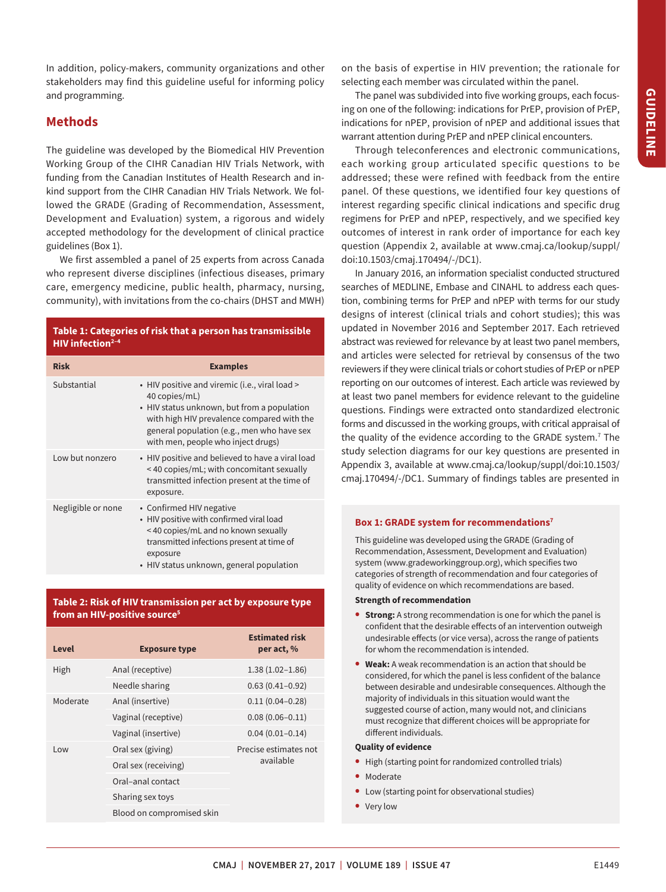In addition, policy-makers, community organizations and other stakeholders may find this guideline useful for informing policy and programming.

# **Methods**

The guideline was developed by the Biomedical HIV Prevention Working Group of the CIHR Canadian HIV Trials Network, with funding from the Canadian Institutes of Health Research and inkind support from the CIHR Canadian HIV Trials Network. We followed the GRADE (Grading of Recommendation, Assessment, Development and Evaluation) system, a rigorous and widely accepted methodology for the development of clinical practice guidelines (Box 1).

We first assembled a panel of 25 experts from across Canada who represent diverse disciplines (infectious diseases, primary care, emergency medicine, public health, pharmacy, nursing, community), with invitations from the co-chairs (DHST and MWH)

# **Table 1: Categories of risk that a person has transmissible HIV infection2–4**

| <b>Risk</b>        | <b>Examples</b>                                                                                                                                                                                                                                  |
|--------------------|--------------------------------------------------------------------------------------------------------------------------------------------------------------------------------------------------------------------------------------------------|
| Substantial        | • HIV positive and viremic (i.e., viral load ><br>40 copies/mL)<br>• HIV status unknown, but from a population<br>with high HIV prevalence compared with the<br>general population (e.g., men who have sex<br>with men, people who inject drugs) |
| Low but nonzero    | • HIV positive and believed to have a viral load<br><40 copies/mL; with concomitant sexually<br>transmitted infection present at the time of<br>exposure.                                                                                        |
| Negligible or none | • Confirmed HIV negative<br>• HIV positive with confirmed viral load<br><40 copies/mL and no known sexually<br>transmitted infections present at time of<br>exposure                                                                             |

• HIV status unknown, general population

# **Table 2: Risk of HIV transmission per act by exposure type from an HIV-positive source5**

| <b>Level</b> | <b>Exposure type</b>      | <b>Estimated risk</b><br>per act, % |  |
|--------------|---------------------------|-------------------------------------|--|
| High         | Anal (receptive)          | $1.38(1.02 - 1.86)$                 |  |
|              | Needle sharing            | $0.63(0.41 - 0.92)$                 |  |
| Moderate     | Anal (insertive)          | $0.11(0.04 - 0.28)$                 |  |
|              | Vaginal (receptive)       | $0.08(0.06 - 0.11)$                 |  |
|              | Vaginal (insertive)       | $0.04(0.01 - 0.14)$                 |  |
| Low          | Oral sex (giving)         | Precise estimates not<br>available  |  |
|              | Oral sex (receiving)      |                                     |  |
|              | Oral-anal contact         |                                     |  |
|              | Sharing sex toys          |                                     |  |
|              | Blood on compromised skin |                                     |  |

on the basis of expertise in HIV prevention; the rationale for selecting each member was circulated within the panel.

The panel was subdivided into five working groups, each focusing on one of the following: indications for PrEP, provision of PrEP, indications for nPEP, provision of nPEP and additional issues that warrant attention during PrEP and nPEP clinical encounters.

Through teleconferences and electronic communications, each working group articulated specific questions to be addressed; these were refined with feedback from the entire panel. Of these questions, we identified four key questions of interest regarding specific clinical indications and specific drug regimens for PrEP and nPEP, respectively, and we specified key outcomes of interest in rank order of importance for each key question (Appendix 2, available at www.cmaj.ca/lookup/suppl/ doi:10.1503/cmaj.170494/-/DC1).

In January 2016, an information specialist conducted structured searches of MEDLINE, Embase and CINAHL to address each question, combining terms for PrEP and nPEP with terms for our study designs of interest (clinical trials and cohort studies); this was updated in November 2016 and September 2017. Each retrieved abstract was reviewed for relevance by at least two panel members, and articles were selected for retrieval by consensus of the two reviewers if they were clinical trials or cohort studies of PrEP or nPEP reporting on our outcomes of interest. Each article was reviewed by at least two panel members for evidence relevant to the guideline questions. Findings were extracted onto standardized electronic forms and discussed in the working groups, with critical appraisal of the quality of the evidence according to the GRADE system.<sup>7</sup> The study selection diagrams for our key questions are presented in Appendix 3, available at www.cmaj.ca/lookup/suppl/doi:10.1503/ cmaj.170494/-/DC1. Summary of findings tables are presented in

# **Box 1: GRADE system for recommendations7**

This guideline was developed using the GRADE (Grading of Recommendation, Assessment, Development and Evaluation) system (www.gradeworkinggroup.org), which specifies two categories of strength of recommendation and four categories of quality of evidence on which recommendations are based.

# **Strength of recommendation**

- **• Strong:** A strong recommendation is one for which the panel is confident that the desirable effects of an intervention outweigh undesirable effects (or vice versa), across the range of patients for whom the recommendation is intended.
- **• Weak:** A weak recommendation is an action that should be considered, for which the panel is less confident of the balance between desirable and undesirable consequences. Although the majority of individuals in this situation would want the suggested course of action, many would not, and clinicians must recognize that different choices will be appropriate for different individuals.

# **Quality of evidence**

- **•** High (starting point for randomized controlled trials)
- **•** Moderate
- **•** Low (starting point for observational studies)
- **•** Very low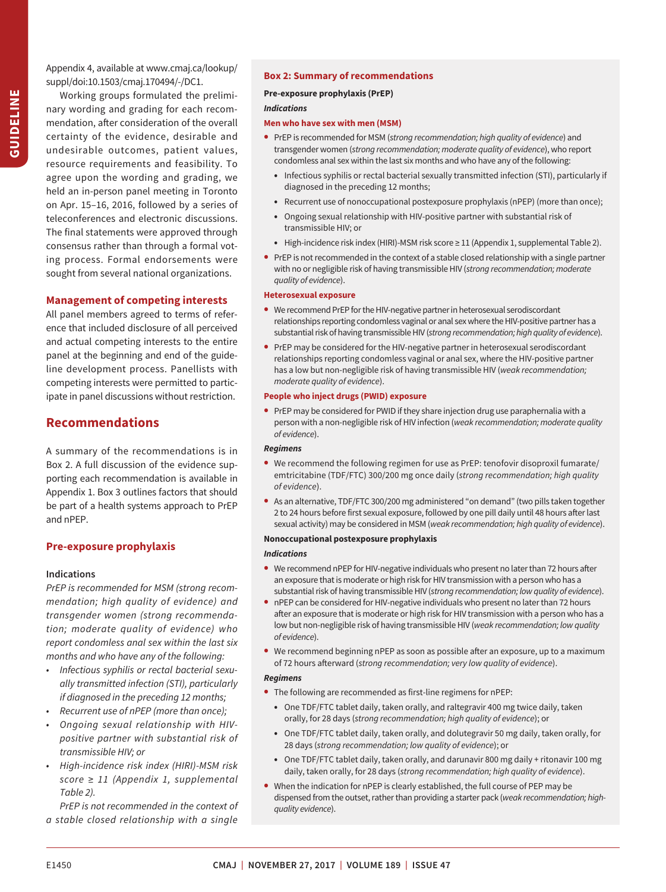Appendix 4, available at www.cmaj.ca/lookup/ suppl/doi:10.1503/cmaj.170494/-/DC1.

Working groups formulated the preliminary wording and grading for each recommendation, after consideration of the overall certainty of the evidence, desirable and undesirable outcomes, patient values, resource requirements and feasibility. To agree upon the wording and grading, we held an in-person panel meeting in Toronto on Apr. 15–16, 2016, followed by a series of teleconferences and electronic discussions. The final statements were approved through consensus rather than through a formal voting process. Formal endorsements were sought from several national organizations.

# **Management of competing interests**

All panel members agreed to terms of reference that included disclosure of all perceived and actual competing interests to the entire panel at the beginning and end of the guideline development process. Panellists with competing interests were permitted to participate in panel discussions without restriction.

# **Recommendations**

A summary of the recommendations is in Box 2. A full discussion of the evidence supporting each recommendation is available in Appendix 1. Box 3 outlines factors that should be part of a health systems approach to PrEP and nPEP.

# **Pre-exposure prophylaxis**

# **Indications**

*PrEP is recommended for MSM (strong recommendation; high quality of evidence) and transgender women (strong recommendation; moderate quality of evidence) who report condomless anal sex within the last six months and who have any of the following:* 

- *• Infectious syphilis or rectal bacterial sexually transmitted infection (STI), particularly if diagnosed in the preceding 12 months;*
- *• Recurrent use of nPEP (more than once);*
- *• Ongoing sexual relationship with HIVpositive partner with substantial risk of transmissible HIV; or*
- *• High-incidence risk index (HIRI)-MSM risk score* ≥ *11 (Appendix 1, supplemental Table 2).*

*PrEP is not recommended in the context of a stable closed relationship with a single* 

# **Box 2: Summary of recommendations**

# **Pre-exposure prophylaxis (PrEP)**

# *Indications*

## **Men who have sex with men (MSM)**

- **•** PrEP is recommended for MSM (*strong recommendation; high quality of evidence*) and transgender women (*strong recommendation; moderate quality of evidence*), who report condomless anal sex within the last six months and who have any of the following:
	- **•** Infectious syphilis or rectal bacterial sexually transmitted infection (STI), particularly if diagnosed in the preceding 12 months;
	- **•** Recurrent use of nonoccupational postexposure prophylaxis (nPEP) (more than once);
	- **•** Ongoing sexual relationship with HIV-positive partner with substantial risk of transmissible HIV; or
	- **•** High-incidence risk index (HIRI)-MSM risk score ≥ 11 (Appendix 1, supplemental Table 2).
- **•** PrEP is not recommended in the context of a stable closed relationship with a single partner with no or negligible risk of having transmissible HIV (*strong recommendation; moderate quality of evidence*).

# **Heterosexual exposure**

- **•** We recommend PrEP for the HIV-negative partner in heterosexual serodiscordant relationships reporting condomless vaginal or anal sex where the HIV-positive partner has a substantial risk of having transmissible HIV (*strong recommendation; high quality of evidence*).
- **•** PrEP may be considered for the HIV-negative partner in heterosexual serodiscordant relationships reporting condomless vaginal or anal sex, where the HIV-positive partner has a low but non-negligible risk of having transmissible HIV (*weak recommendation; moderate quality of evidence*).

#### **People who inject drugs (PWID) exposure**

**•** PrEP may be considered for PWID if they share injection drug use paraphernalia with a person with a non-negligible risk of HIV infection (*weak recommendation; moderate quality of evidence*).

# *Regimens*

- **•** We recommend the following regimen for use as PrEP: tenofovir disoproxil fumarate/ emtricitabine (TDF/FTC) 300/200 mg once daily (*strong recommendation; high quality of evidence*).
- **•** As an alternative, TDF/FTC 300/200 mg administered "on demand" (two pills taken together 2 to 24 hours before first sexual exposure, followed by one pill daily until 48 hours after last sexual activity) may be considered in MSM (*weak recommendation; high quality of evidence*).

# **Nonoccupational postexposure prophylaxis**

# *Indications*

- **•** We recommend nPEP for HIV-negative individuals who present no later than 72 hours after an exposure that is moderate or high risk for HIV transmission with a person who has a substantial risk of having transmissible HIV (*strong recommendation; low quality of evidence*).
- **•** nPEP can be considered for HIV-negative individuals who present no later than 72 hours after an exposure that is moderate or high risk for HIV transmission with a person who has a low but non-negligible risk of having transmissible HIV (*weak recommendation; low quality of evidence*).
- **•** We recommend beginning nPEP as soon as possible after an exposure, up to a maximum of 72 hours afterward (*strong recommendation; very low quality of evidence*).

# *Regimens*

- **•** The following are recommended as first-line regimens for nPEP:
	- **•** One TDF/FTC tablet daily, taken orally, and raltegravir 400 mg twice daily, taken orally, for 28 days (*strong recommendation; high quality of evidence*); or
	- **•** One TDF/FTC tablet daily, taken orally, and dolutegravir 50 mg daily, taken orally, for 28 days (*strong recommendation; low quality of evidence*); or
	- **•** One TDF/FTC tablet daily, taken orally, and darunavir 800 mg daily + ritonavir 100 mg daily, taken orally, for 28 days (*strong recommendation; high quality of evidence*).
- **•** When the indication for nPEP is clearly established, the full course of PEP may be dispensed from the outset, rather than providing a starter pack (*weak recommendation; highquality evidence*).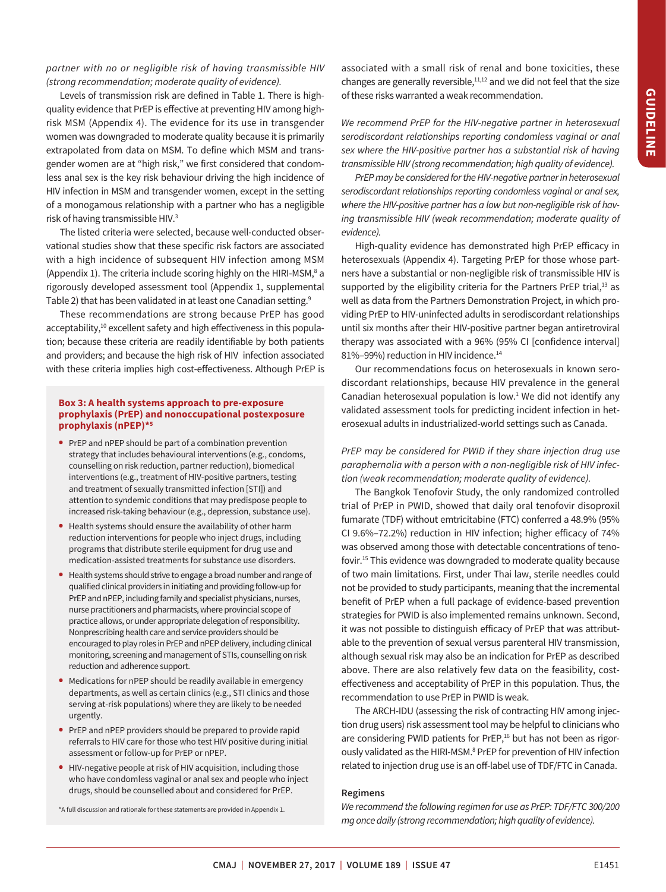# *partner with no or negligible risk of having transmissible HIV (strong recommendation; moderate quality of evidence).*

Levels of transmission risk are defined in Table 1. There is highquality evidence that PrEP is effective at preventing HIV among highrisk MSM (Appendix 4). The evidence for its use in transgender women was downgraded to moderate quality because it is primarily extrapolated from data on MSM. To define which MSM and transgender women are at "high risk," we first considered that condomless anal sex is the key risk behaviour driving the high incidence of HIV infection in MSM and transgender women, except in the setting of a monogamous relationship with a partner who has a negligible risk of having transmissible HIV.3

The listed criteria were selected, because well-conducted observational studies show that these specific risk factors are associated with a high incidence of subsequent HIV infection among MSM (Appendix 1). The criteria include scoring highly on the HIRI-MSM, $^8$  a rigorously developed assessment tool (Appendix 1, supplemental Table 2) that has been validated in at least one Canadian setting.<sup>9</sup>

These recommendations are strong because PrEP has good acceptability,<sup>10</sup> excellent safety and high effectiveness in this population; because these criteria are readily identifiable by both patients and providers; and because the high risk of HIV infection associated with these criteria implies high cost-effectiveness. Although PrEP is

# **Box 3: A health systems approach to pre-exposure prophylaxis (PrEP) and nonoccupational postexposure prophylaxis (nPEP)\*5**

- **•** PrEP and nPEP should be part of a combination prevention strategy that includes behavioural interventions (e.g., condoms, counselling on risk reduction, partner reduction), biomedical interventions (e.g., treatment of HIV-positive partners, testing and treatment of sexually transmitted infection [STI]) and attention to syndemic conditions that may predispose people to increased risk-taking behaviour (e.g., depression, substance use).
- **•** Health systems should ensure the availability of other harm reduction interventions for people who inject drugs, including programs that distribute sterile equipment for drug use and medication-assisted treatments for substance use disorders.
- **•** Health systems should strive to engage a broad number and range of qualified clinical providers in initiating and providing follow-up for PrEP and nPEP, including family and specialist physicians, nurses, nurse practitioners and pharmacists, where provincial scope of practice allows, or under appropriate delegation of responsibility. Nonprescribing health care and service providers should be encouraged to play roles in PrEP and nPEP delivery, including clinical monitoring, screening and management of STIs, counselling on risk reduction and adherence support.
- **•** Medications for nPEP should be readily available in emergency departments, as well as certain clinics (e.g., STI clinics and those serving at-risk populations) where they are likely to be needed urgently.
- **•** PrEP and nPEP providers should be prepared to provide rapid referrals to HIV care for those who test HIV positive during initial assessment or follow-up for PrEP or nPEP.
- **•** HIV-negative people at risk of HIV acquisition, including those who have condomless vaginal or anal sex and people who inject drugs, should be counselled about and considered for PrEP.

\*A full discussion and rationale for these statements are provided in Appendix 1.

associated with a small risk of renal and bone toxicities, these changes are generally reversible, $11,12$  and we did not feel that the size of these risks warranted a weak recommendation.

*We recommend PrEP for the HIV-negative partner in heterosexual serodiscordant relationships reporting condomless vaginal or anal sex where the HIV-positive partner has a substantial risk of having transmissible HIV (strong recommendation; high quality of evidence).*

*PrEP may be considered for the HIV-negative partner in heterosexual serodiscordant relationships reporting condomless vaginal or anal sex, where the HIV-positive partner has a low but non-negligible risk of having transmissible HIV (weak recommendation; moderate quality of evidence).*

High-quality evidence has demonstrated high PrEP efficacy in heterosexuals (Appendix 4). Targeting PrEP for those whose partners have a substantial or non-negligible risk of transmissible HIV is supported by the eligibility criteria for the Partners PrEP trial, $13$  as well as data from the Partners Demonstration Project, in which providing PrEP to HIV-uninfected adults in serodiscordant relationships until six months after their HIV-positive partner began antiretroviral therapy was associated with a 96% (95% CI [confidence interval] 81%-99%) reduction in HIV incidence.<sup>14</sup>

Our recommendations focus on heterosexuals in known serodiscordant relationships, because HIV prevalence in the general Canadian heterosexual population is low.<sup>1</sup> We did not identify any validated assessment tools for predicting incident infection in heterosexual adults in industrialized-world settings such as Canada.

# *PrEP may be considered for PWID if they share injection drug use paraphernalia with a person with a non-negligible risk of HIV infection (weak recommendation; moderate quality of evidence).*

The Bangkok Tenofovir Study, the only randomized controlled trial of PrEP in PWID, showed that daily oral tenofovir disoproxil fumarate (TDF) without emtricitabine (FTC) conferred a 48.9% (95% CI 9.6%–72.2%) reduction in HIV infection; higher efficacy of 74% was observed among those with detectable concentrations of tenofovir.15 This evidence was downgraded to moderate quality because of two main limitations. First, under Thai law, sterile needles could not be provided to study participants, meaning that the incremental benefit of PrEP when a full package of evidence-based prevention strategies for PWID is also implemented remains unknown. Second, it was not possible to distinguish efficacy of PrEP that was attributable to the prevention of sexual versus parenteral HIV transmission, although sexual risk may also be an indication for PrEP as described above. There are also relatively few data on the feasibility, costeffectiveness and acceptability of PrEP in this population. Thus, the recommendation to use PrEP in PWID is weak.

The ARCH-IDU (assessing the risk of contracting HIV among injection drug users) risk assessment tool may be helpful to clinicians who are considering PWID patients for PrEP,<sup>16</sup> but has not been as rigorously validated as the HIRI-MSM.<sup>8</sup> PrEP for prevention of HIV infection related to injection drug use is an off-label use of TDF/FTC in Canada.

# **Regimens**

*We recommend the following regimen for use as PrEP: TDF/FTC 300/200 mg once daily (strong recommendation; high quality of evidence).*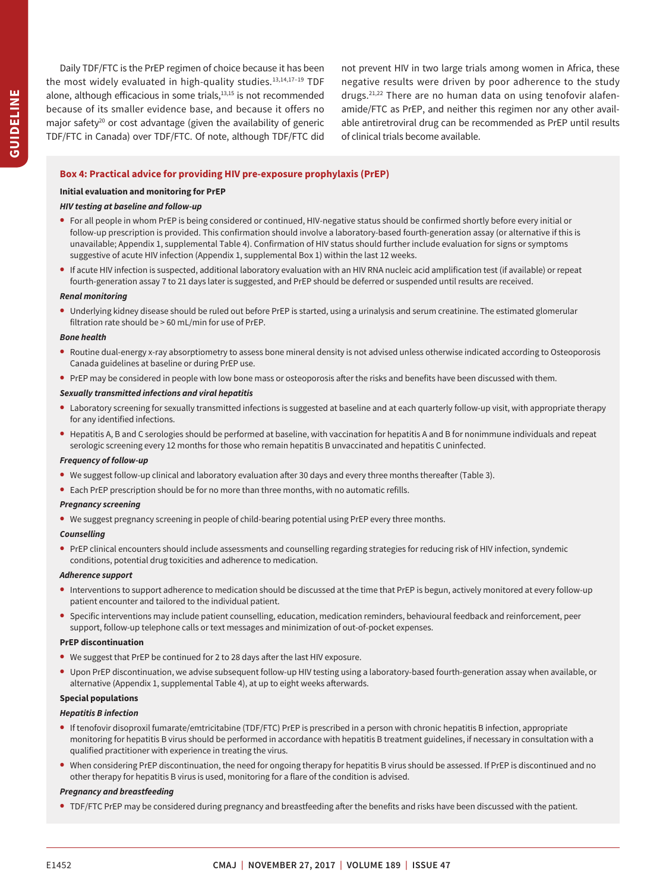Daily TDF/FTC is the PrEP regimen of choice because it has been the most widely evaluated in high-quality studies. $13,14,17-19$  TDF alone, although efficacious in some trials,<sup>13,15</sup> is not recommended because of its smaller evidence base, and because it offers no major safety<sup>20</sup> or cost advantage (given the availability of generic TDF/FTC in Canada) over TDF/FTC. Of note, although TDF/FTC did not prevent HIV in two large trials among women in Africa, these negative results were driven by poor adherence to the study drugs.21,22 There are no human data on using tenofovir alafenamide/FTC as PrEP, and neither this regimen nor any other available antiretroviral drug can be recommended as PrEP until results of clinical trials become available.

# **Box 4: Practical advice for providing HIV pre-exposure prophylaxis (PrEP)**

# **Initial evaluation and monitoring for PrEP**

# *HIV testing at baseline and follow-up*

- **•** For all people in whom PrEP is being considered or continued, HIV-negative status should be confirmed shortly before every initial or follow-up prescription is provided. This confirmation should involve a laboratory-based fourth-generation assay (or alternative if this is unavailable; Appendix 1, supplemental Table 4). Confirmation of HIV status should further include evaluation for signs or symptoms suggestive of acute HIV infection (Appendix 1, supplemental Box 1) within the last 12 weeks.
- **•** If acute HIV infection is suspected, additional laboratory evaluation with an HIV RNA nucleic acid amplification test (if available) or repeat fourth-generation assay 7 to 21 days later is suggested, and PrEP should be deferred or suspended until results are received.

#### *Renal monitoring*

**•** Underlying kidney disease should be ruled out before PrEP is started, using a urinalysis and serum creatinine. The estimated glomerular filtration rate should be > 60 mL/min for use of PrEP.

#### *Bone health*

- **•** Routine dual-energy x-ray absorptiometry to assess bone mineral density is not advised unless otherwise indicated according to Osteoporosis Canada guidelines at baseline or during PrEP use.
- **•** PrEP may be considered in people with low bone mass or osteoporosis after the risks and benefits have been discussed with them.

#### *Sexually transmitted infections and viral hepatitis*

- **•** Laboratory screening for sexually transmitted infections is suggested at baseline and at each quarterly follow-up visit, with appropriate therapy for any identified infections.
- **•** Hepatitis A, B and C serologies should be performed at baseline, with vaccination for hepatitis A and B for nonimmune individuals and repeat serologic screening every 12 months for those who remain hepatitis B unvaccinated and hepatitis C uninfected.

#### *Frequency of follow-up*

- **•** We suggest follow-up clinical and laboratory evaluation after 30 days and every three months thereafter (Table 3).
- **•** Each PrEP prescription should be for no more than three months, with no automatic refills.

#### *Pregnancy screening*

**•** We suggest pregnancy screening in people of child-bearing potential using PrEP every three months.

#### *Counselling*

**•** PrEP clinical encounters should include assessments and counselling regarding strategies for reducing risk of HIV infection, syndemic conditions, potential drug toxicities and adherence to medication.

#### *Adherence support*

- **•** Interventions to support adherence to medication should be discussed at the time that PrEP is begun, actively monitored at every follow-up patient encounter and tailored to the individual patient.
- **•** Specific interventions may include patient counselling, education, medication reminders, behavioural feedback and reinforcement, peer support, follow-up telephone calls or text messages and minimization of out-of-pocket expenses.

#### **PrEP discontinuation**

- **•** We suggest that PrEP be continued for 2 to 28 days after the last HIV exposure.
- **•** Upon PrEP discontinuation, we advise subsequent follow-up HIV testing using a laboratory-based fourth-generation assay when available, or alternative (Appendix 1, supplemental Table 4), at up to eight weeks afterwards.

# **Special populations**

## *Hepatitis B infection*

- **•** If tenofovir disoproxil fumarate/emtricitabine (TDF/FTC) PrEP is prescribed in a person with chronic hepatitis B infection, appropriate monitoring for hepatitis B virus should be performed in accordance with hepatitis B treatment guidelines, if necessary in consultation with a qualified practitioner with experience in treating the virus.
- **•** When considering PrEP discontinuation, the need for ongoing therapy for hepatitis B virus should be assessed. If PrEP is discontinued and no other therapy for hepatitis B virus is used, monitoring for a flare of the condition is advised.

#### *Pregnancy and breastfeeding*

**•** TDF/FTC PrEP may be considered during pregnancy and breastfeeding after the benefits and risks have been discussed with the patient.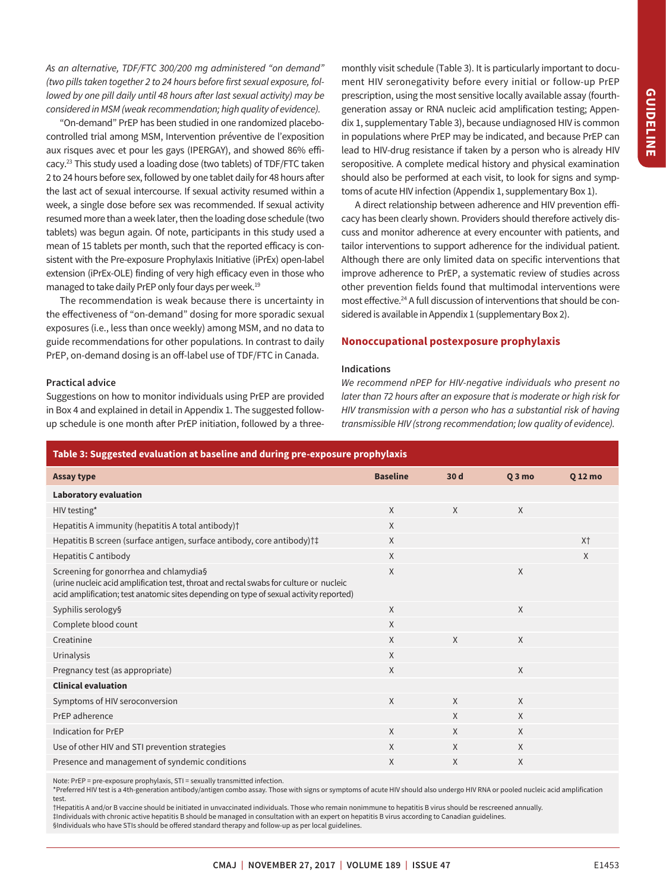*As an alternative, TDF/FTC 300/200 mg administered "on demand" (two pills taken together 2 to 24 hours before first sexual exposure, followed by one pill daily until 48 hours after last sexual activity) may be considered in MSM (weak recommendation; high quality of evidence).*

"On-demand" PrEP has been studied in one randomized placebocontrolled trial among MSM, Intervention préventive de l'exposition aux risques avec et pour les gays (IPERGAY), and showed 86% efficacy.23 This study used a loading dose (two tablets) of TDF/FTC taken 2 to 24 hours before sex, followed by one tablet daily for 48 hours after the last act of sexual intercourse. If sexual activity resumed within a week, a single dose before sex was recommended. If sexual activity resumed more than a week later, then the loading dose schedule (two tablets) was begun again. Of note, participants in this study used a mean of 15 tablets per month, such that the reported efficacy is consistent with the Pre-exposure Prophylaxis Initiative (iPrEx) open-label extension (iPrEx-OLE) finding of very high efficacy even in those who managed to take daily PrEP only four days per week.19

The recommendation is weak because there is uncertainty in the effectiveness of "on-demand" dosing for more sporadic sexual exposures (i.e., less than once weekly) among MSM, and no data to guide recommendations for other populations. In contrast to daily PrEP, on-demand dosing is an off-label use of TDF/FTC in Canada.

# **Practical advice**

Suggestions on how to monitor individuals using PrEP are provided in Box 4 and explained in detail in Appendix 1. The suggested followup schedule is one month after PrEP initiation, followed by a threemonthly visit schedule (Table 3). It is particularly important to document HIV seronegativity before every initial or follow-up PrEP prescription, using the most sensitive locally available assay (fourthgeneration assay or RNA nucleic acid amplification testing; Appendix 1, supplementary Table 3), because undiagnosed HIV is common in populations where PrEP may be indicated, and because PrEP can lead to HIV-drug resistance if taken by a person who is already HIV seropositive. A complete medical history and physical examination should also be performed at each visit, to look for signs and symptoms of acute HIV infection (Appendix 1, supplementary Box 1).

A direct relationship between adherence and HIV prevention efficacy has been clearly shown. Providers should therefore actively discuss and monitor adherence at every encounter with patients, and tailor interventions to support adherence for the individual patient. Although there are only limited data on specific interventions that improve adherence to PrEP, a systematic review of studies across other prevention fields found that multimodal interventions were most effective.24 A full discussion of interventions that should be considered is available in Appendix 1 (supplementary Box 2).

# **Nonoccupational postexposure prophylaxis**

# **Indications**

*We recommend nPEP for HIV-negative individuals who present no later than 72 hours after an exposure that is moderate or high risk for HIV transmission with a person who has a substantial risk of having transmissible HIV (strong recommendation; low quality of evidence).*

| Table 3: Suggested evaluation at baseline and during pre-exposure prophylaxis                                                                                                                                              |                 |        |         |                |
|----------------------------------------------------------------------------------------------------------------------------------------------------------------------------------------------------------------------------|-----------------|--------|---------|----------------|
| Assay type                                                                                                                                                                                                                 | <b>Baseline</b> | 30 d   | $Q3$ mo | <b>Q 12 mo</b> |
| <b>Laboratory evaluation</b>                                                                                                                                                                                               |                 |        |         |                |
| HIV testing*                                                                                                                                                                                                               | X               | $\chi$ | X       |                |
| Hepatitis A immunity (hepatitis A total antibody) <sup>†</sup>                                                                                                                                                             | X               |        |         |                |
| Hepatitis B screen (surface antigen, surface antibody, core antibody) <sup>†</sup> ‡                                                                                                                                       | X               |        |         | X <sup>+</sup> |
| Hepatitis C antibody                                                                                                                                                                                                       | X               |        |         | X              |
| Screening for gonorrhea and chlamydia§<br>(urine nucleic acid amplification test, throat and rectal swabs for culture or nucleic<br>acid amplification; test anatomic sites depending on type of sexual activity reported) | X               |        | X       |                |
| Syphilis serology§                                                                                                                                                                                                         | X               |        | X       |                |
| Complete blood count                                                                                                                                                                                                       | X               |        |         |                |
| Creatinine                                                                                                                                                                                                                 | X               | $\chi$ | X       |                |
| <b>Urinalysis</b>                                                                                                                                                                                                          | X               |        |         |                |
| Pregnancy test (as appropriate)                                                                                                                                                                                            | X               |        | X       |                |
| <b>Clinical evaluation</b>                                                                                                                                                                                                 |                 |        |         |                |
| Symptoms of HIV seroconversion                                                                                                                                                                                             | X               | $\chi$ | X       |                |
| PrEP adherence                                                                                                                                                                                                             |                 | $\chi$ | X       |                |
| Indication for PrEP                                                                                                                                                                                                        | $\chi$          | $\chi$ | X       |                |
| Use of other HIV and STI prevention strategies                                                                                                                                                                             | X               | X      | X       |                |
| Presence and management of syndemic conditions                                                                                                                                                                             | X               | $\chi$ | X       |                |

Note: PrEP = pre-exposure prophylaxis, STI = sexually transmitted infection.

\*Preferred HIV test is a 4th-generation antibody/antigen combo assay. Those with signs or symptoms of acute HIV should also undergo HIV RNA or pooled nucleic acid amplification test.

†Hepatitis A and/or B vaccine should be initiated in unvaccinated individuals. Those who remain nonimmune to hepatitis B virus should be rescreened annually. ‡Individuals with chronic active hepatitis B should be managed in consultation with an expert on hepatitis B virus according to Canadian guidelines. §Individuals who have STIs should be offered standard therapy and follow-up as per local guidelines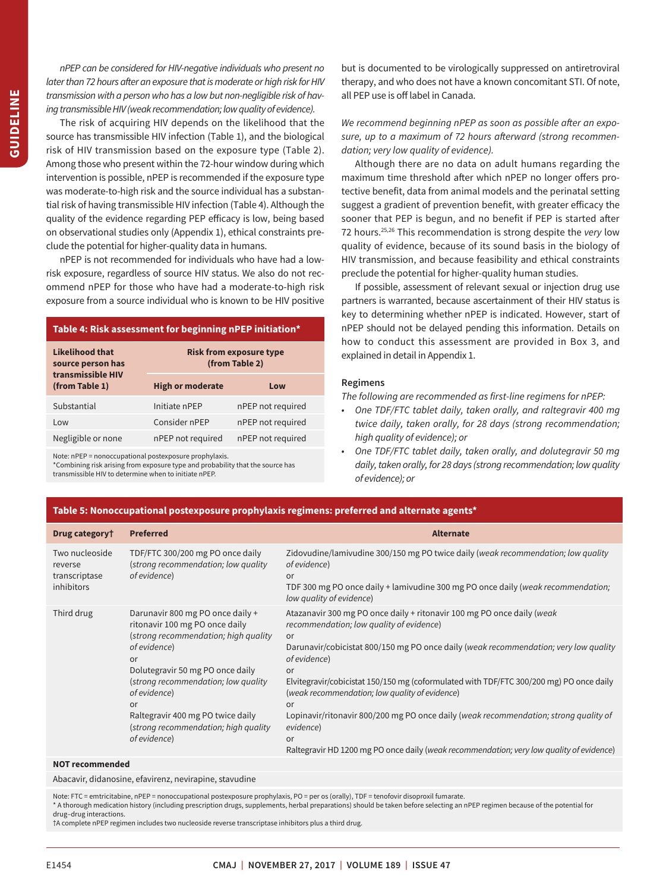*nPEP can be considered for HIV-negative individuals who present no later than 72 hours after an exposure that is moderate or high risk for HIV transmission with a person who has a low but non-negligible risk of having transmissible HIV (weak recommendation; low quality of evidence).*

The risk of acquiring HIV depends on the likelihood that the source has transmissible HIV infection (Table 1), and the biological risk of HIV transmission based on the exposure type (Table 2). Among those who present within the 72-hour window during which intervention is possible, nPEP is recommended if the exposure type was moderate-to-high risk and the source individual has a substantial risk of having transmissible HIV infection (Table 4). Although the quality of the evidence regarding PEP efficacy is low, being based on observational studies only (Appendix 1), ethical constraints preclude the potential for higher-quality data in humans.

nPEP is not recommended for individuals who have had a lowrisk exposure, regardless of source HIV status. We also do not recommend nPEP for those who have had a moderate-to-high risk exposure from a source individual who is known to be HIV positive

# **Table 4: Risk assessment for beginning nPEP initiation\***

| <b>Likelihood that</b><br>source person has<br>transmissible HIV<br>(from Table 1) | <b>Risk from exposure type</b><br>(from Table 2) |                   |  |
|------------------------------------------------------------------------------------|--------------------------------------------------|-------------------|--|
|                                                                                    | <b>High or moderate</b>                          | Low               |  |
| Substantial                                                                        | Initiate nPEP                                    | nPEP not required |  |
| Low                                                                                | Consider nPEP                                    | nPEP not required |  |
| Negligible or none                                                                 | nPEP not required                                | nPEP not required |  |

Note: nPEP = nonoccupational postexposure prophylaxis.

\*Combining risk arising from exposure type and probability that the source has transmissible HIV to determine when to initiate nPEP.

but is documented to be virologically suppressed on antiretroviral therapy, and who does not have a known concomitant STI. Of note, all PEP use is off label in Canada.

*We recommend beginning nPEP as soon as possible after an exposure, up to a maximum of 72 hours afterward (strong recommendation; very low quality of evidence).*

Although there are no data on adult humans regarding the maximum time threshold after which nPEP no longer offers protective benefit, data from animal models and the perinatal setting suggest a gradient of prevention benefit, with greater efficacy the sooner that PEP is begun, and no benefit if PEP is started after 72 hours.25,26 This recommendation is strong despite the *very* low quality of evidence, because of its sound basis in the biology of HIV transmission, and because feasibility and ethical constraints preclude the potential for higher-quality human studies.

If possible, assessment of relevant sexual or injection drug use partners is warranted, because ascertainment of their HIV status is key to determining whether nPEP is indicated. However, start of nPEP should not be delayed pending this information. Details on how to conduct this assessment are provided in Box 3, and explained in detail in Appendix 1.

# **Regimens**

*The following are recommended as first-line regimens for nPEP:*

- *• One TDF/FTC tablet daily, taken orally, and raltegravir 400 mg twice daily, taken orally, for 28 days (strong recommendation; high quality of evidence); or*
- *• One TDF/FTC tablet daily, taken orally, and dolutegravir 50 mg daily, taken orally, for 28 days (strong recommendation; low quality of evidence); or*

| Drug category <sup>†</sup>                               | <b>Preferred</b>                                                                                                                                                                                                                                                                                                               | <b>Alternate</b>                                                                                                                                                                                                                                                                                                                                                                                                                                                                                                                                                                                 |
|----------------------------------------------------------|--------------------------------------------------------------------------------------------------------------------------------------------------------------------------------------------------------------------------------------------------------------------------------------------------------------------------------|--------------------------------------------------------------------------------------------------------------------------------------------------------------------------------------------------------------------------------------------------------------------------------------------------------------------------------------------------------------------------------------------------------------------------------------------------------------------------------------------------------------------------------------------------------------------------------------------------|
| Two nucleoside<br>reverse<br>transcriptase<br>inhibitors | TDF/FTC 300/200 mg PO once daily<br>(strong recommendation; low quality<br>of evidence)                                                                                                                                                                                                                                        | Zidovudine/lamivudine 300/150 mg PO twice daily (weak recommendation; low quality<br>of evidence)<br>or<br>TDF 300 mg PO once daily + lamivudine 300 mg PO once daily (weak recommendation;<br>low quality of evidence)                                                                                                                                                                                                                                                                                                                                                                          |
| Third drug                                               | Darunavir 800 mg PO once daily +<br>ritonavir 100 mg PO once daily<br>(strong recommendation; high quality<br>of evidence)<br>or<br>Dolutegravir 50 mg PO once daily<br>(strong recommendation; low quality<br>of evidence)<br>or<br>Raltegravir 400 mg PO twice daily<br>(strong recommendation; high quality<br>of evidence) | Atazanavir 300 mg PO once daily + ritonavir 100 mg PO once daily (weak<br>recommendation; low quality of evidence)<br>or<br>Darunavir/cobicistat 800/150 mg PO once daily (weak recommendation; very low quality<br>of evidence)<br>or<br>Elvitegravir/cobicistat 150/150 mg (coformulated with TDF/FTC 300/200 mg) PO once daily<br>(weak recommendation; low quality of evidence)<br>or<br>Lopinavir/ritonavir 800/200 mg PO once daily (weak recommendation; strong quality of<br>evidence)<br>or<br>Raltegravir HD 1200 mg PO once daily (weak recommendation; very low quality of evidence) |

#### **NOT recommended**

Abacavir, didanosine, efavirenz, nevirapine, stavudine

Note: FTC = emtricitabine, nPEP = nonoccupational postexposure prophylaxis, PO = per os (orally), TDF = tenofovir disoproxil fumarate.

**Table 5: Nonoccupational postexposure prophylaxis regimens: preferred and alternate agents\***

\* A thorough medication history (including prescription drugs, supplements, herbal preparations) should be taken before selecting an nPEP regimen because of the potential for drug–drug interactions.

†A complete nPEP regimen includes two nucleoside reverse transcriptase inhibitors plus a third drug.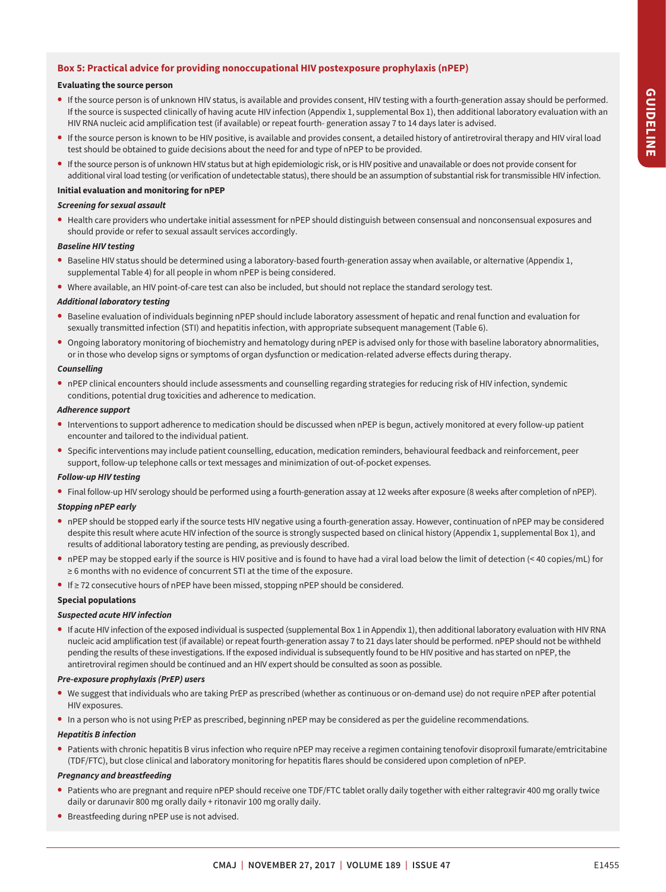# **Box 5: Practical advice for providing nonoccupational HIV postexposure prophylaxis (nPEP)**

# **Evaluating the source person**

- **•** If the source person is of unknown HIV status, is available and provides consent, HIV testing with a fourth-generation assay should be performed. If the source is suspected clinically of having acute HIV infection (Appendix 1, supplemental Box 1), then additional laboratory evaluation with an HIV RNA nucleic acid amplification test (if available) or repeat fourth- generation assay 7 to 14 days later is advised.
- **•** If the source person is known to be HIV positive, is available and provides consent, a detailed history of antiretroviral therapy and HIV viral load test should be obtained to guide decisions about the need for and type of nPEP to be provided.
- **•** If the source person is of unknown HIV status but at high epidemiologic risk, or is HIV positive and unavailable or does not provide consent for additional viral load testing (or verification of undetectable status), there should be an assumption of substantial risk for transmissible HIV infection.

#### **Initial evaluation and monitoring for nPEP**

#### *Screening for sexual assault*

**•** Health care providers who undertake initial assessment for nPEP should distinguish between consensual and nonconsensual exposures and should provide or refer to sexual assault services accordingly.

#### *Baseline HIV testing*

- **•** Baseline HIV status should be determined using a laboratory-based fourth-generation assay when available, or alternative (Appendix 1, supplemental Table 4) for all people in whom nPEP is being considered.
- **•** Where available, an HIV point-of-care test can also be included, but should not replace the standard serology test.

#### *Additional laboratory testing*

- **•** Baseline evaluation of individuals beginning nPEP should include laboratory assessment of hepatic and renal function and evaluation for sexually transmitted infection (STI) and hepatitis infection, with appropriate subsequent management (Table 6).
- **•** Ongoing laboratory monitoring of biochemistry and hematology during nPEP is advised only for those with baseline laboratory abnormalities, or in those who develop signs or symptoms of organ dysfunction or medication-related adverse effects during therapy.

#### *Counselling*

**•** nPEP clinical encounters should include assessments and counselling regarding strategies for reducing risk of HIV infection, syndemic conditions, potential drug toxicities and adherence to medication.

#### *Adherence support*

- **•** Interventions to support adherence to medication should be discussed when nPEP is begun, actively monitored at every follow-up patient encounter and tailored to the individual patient.
- **•** Specific interventions may include patient counselling, education, medication reminders, behavioural feedback and reinforcement, peer support, follow-up telephone calls or text messages and minimization of out-of-pocket expenses.

#### *Follow-up HIV testing*

**•** Final follow-up HIV serology should be performed using a fourth-generation assay at 12 weeks after exposure (8 weeks after completion of nPEP).

#### *Stopping nPEP early*

- **•** nPEP should be stopped early if the source tests HIV negative using a fourth-generation assay. However, continuation of nPEP may be considered despite this result where acute HIV infection of the source is strongly suspected based on clinical history (Appendix 1, supplemental Box 1), and results of additional laboratory testing are pending, as previously described.
- **•** nPEP may be stopped early if the source is HIV positive and is found to have had a viral load below the limit of detection (< 40 copies/mL) for ≥ 6 months with no evidence of concurrent STI at the time of the exposure.
- **•** If ≥ 72 consecutive hours of nPEP have been missed, stopping nPEP should be considered.

#### **Special populations**

#### *Suspected acute HIV infection*

**•** If acute HIV infection of the exposed individual is suspected (supplemental Box 1 in Appendix 1), then additional laboratory evaluation with HIV RNA nucleic acid amplification test (if available) or repeat fourth-generation assay 7 to 21 days later should be performed. nPEP should not be withheld pending the results of these investigations. If the exposed individual is subsequently found to be HIV positive and has started on nPEP, the antiretroviral regimen should be continued and an HIV expert should be consulted as soon as possible.

#### *Pre-exposure prophylaxis (PrEP) users*

- **•** We suggest that individuals who are taking PrEP as prescribed (whether as continuous or on-demand use) do not require nPEP after potential HIV exposures.
- **•** In a person who is not using PrEP as prescribed, beginning nPEP may be considered as per the guideline recommendations.

#### *Hepatitis B infection*

**•** Patients with chronic hepatitis B virus infection who require nPEP may receive a regimen containing tenofovir disoproxil fumarate/emtricitabine (TDF/FTC), but close clinical and laboratory monitoring for hepatitis flares should be considered upon completion of nPEP.

# *Pregnancy and breastfeeding*

- **•** Patients who are pregnant and require nPEP should receive one TDF/FTC tablet orally daily together with either raltegravir 400 mg orally twice daily or darunavir 800 mg orally daily + ritonavir 100 mg orally daily.
- **•** Breastfeeding during nPEP use is not advised.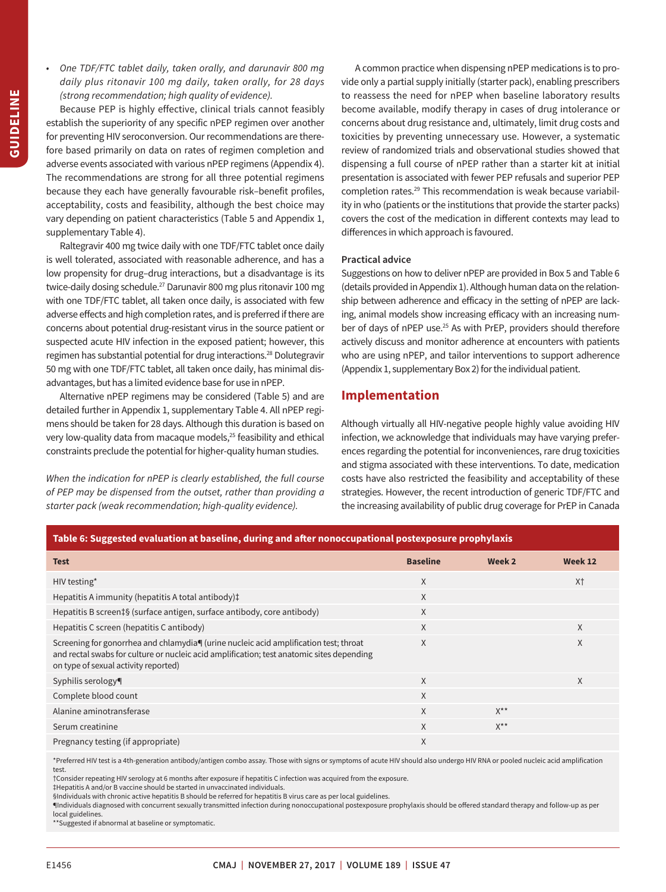*• One TDF/FTC tablet daily, taken orally, and darunavir 800 mg daily plus ritonavir 100 mg daily, taken orally, for 28 days (strong recommendation; high quality of evidence).*

Because PEP is highly effective, clinical trials cannot feasibly establish the superiority of any specific nPEP regimen over another for preventing HIV seroconversion. Our recommendations are therefore based primarily on data on rates of regimen completion and adverse events associated with various nPEP regimens (Appendix 4). The recommendations are strong for all three potential regimens because they each have generally favourable risk–benefit profiles, acceptability, costs and feasibility, although the best choice may vary depending on patient characteristics (Table 5 and Appendix 1, supplementary Table 4).

Raltegravir 400 mg twice daily with one TDF/FTC tablet once daily is well tolerated, associated with reasonable adherence, and has a low propensity for drug–drug interactions, but a disadvantage is its twice-daily dosing schedule.<sup>27</sup> Darunavir 800 mg plus ritonavir 100 mg with one TDF/FTC tablet, all taken once daily, is associated with few adverse effects and high completion rates, and is preferred if there are concerns about potential drug-resistant virus in the source patient or suspected acute HIV infection in the exposed patient; however, this regimen has substantial potential for drug interactions.28 Dolutegravir 50 mg with one TDF/FTC tablet, all taken once daily, has minimal disadvantages, but has a limited evidence base for use in nPEP.

Alternative nPEP regimens may be considered (Table 5) and are detailed further in Appendix 1, supplementary Table 4. All nPEP regimens should be taken for 28 days. Although this duration is based on very low-quality data from macaque models,<sup>25</sup> feasibility and ethical constraints preclude the potential for higher-quality human studies.

*When the indication for nPEP is clearly established, the full course of PEP may be dispensed from the outset, rather than providing a starter pack (weak recommendation; high-quality evidence).*

A common practice when dispensing nPEP medications is to provide only a partial supply initially (starter pack), enabling prescribers to reassess the need for nPEP when baseline laboratory results become available, modify therapy in cases of drug intolerance or concerns about drug resistance and, ultimately, limit drug costs and toxicities by preventing unnecessary use. However, a systematic review of randomized trials and observational studies showed that dispensing a full course of nPEP rather than a starter kit at initial presentation is associated with fewer PEP refusals and superior PEP completion rates.29 This recommendation is weak because variability in who (patients or the institutions that provide the starter packs) covers the cost of the medication in different contexts may lead to differences in which approach is favoured.

#### **Practical advice**

Suggestions on how to deliver nPEP are provided in Box 5 and Table 6 (details provided in Appendix 1). Although human data on the relationship between adherence and efficacy in the setting of nPEP are lacking, animal models show increasing efficacy with an increasing number of days of nPEP use.<sup>25</sup> As with PrEP, providers should therefore actively discuss and monitor adherence at encounters with patients who are using nPEP, and tailor interventions to support adherence (Appendix 1, supplementary Box 2) for the individual patient.

# **Implementation**

Although virtually all HIV-negative people highly value avoiding HIV infection, we acknowledge that individuals may have varying preferences regarding the potential for inconveniences, rare drug toxicities and stigma associated with these interventions. To date, medication costs have also restricted the feasibility and acceptability of these strategies. However, the recent introduction of generic TDF/FTC and the increasing availability of public drug coverage for PrEP in Canada

| Table 6: Suggested evaluation at baseline, during and after nonoccupational postexposure prophylaxis                                                                                                                                   |                 |                  |                |  |
|----------------------------------------------------------------------------------------------------------------------------------------------------------------------------------------------------------------------------------------|-----------------|------------------|----------------|--|
| <b>Test</b>                                                                                                                                                                                                                            | <b>Baseline</b> | Week 2           | Week 12        |  |
| HIV testing*                                                                                                                                                                                                                           | X               |                  | X <sup>+</sup> |  |
| Hepatitis A immunity (hepatitis A total antibody)#                                                                                                                                                                                     | X               |                  |                |  |
| Hepatitis B screen‡§ (surface antigen, surface antibody, core antibody)                                                                                                                                                                | X               |                  |                |  |
| Hepatitis C screen (hepatitis C antibody)                                                                                                                                                                                              | X               |                  | X              |  |
| Screening for gonorrhea and chlamydia <sup>q</sup> (urine nucleic acid amplification test; throat<br>and rectal swabs for culture or nucleic acid amplification; test anatomic sites depending<br>on type of sexual activity reported) | X               |                  | X              |  |
| Syphilis serology <sup>q</sup>                                                                                                                                                                                                         | X               |                  | X              |  |
| Complete blood count                                                                                                                                                                                                                   | X               |                  |                |  |
| Alanine aminotransferase                                                                                                                                                                                                               | X               | $X^{\star\star}$ |                |  |
| Serum creatinine                                                                                                                                                                                                                       | X               | $X^{\star\star}$ |                |  |
| Pregnancy testing (if appropriate)                                                                                                                                                                                                     | X               |                  |                |  |

\*Preferred HIV test is a 4th-generation antibody/antigen combo assay. Those with signs or symptoms of acute HIV should also undergo HIV RNA or pooled nucleic acid amplification test.

†Consider repeating HIV serology at 6 months after exposure if hepatitis C infection was acquired from the exposure.

‡Hepatitis A and/or B vaccine should be started in unvaccinated individuals.

§Individuals with chronic active hepatitis B should be referred for hepatitis B virus care as per local guidelines.

¶Individuals diagnosed with concurrent sexually transmitted infection during nonoccupational postexposure prophylaxis should be offered standard therapy and follow-up as per local guidelines

\*\*Suggested if abnormal at baseline or symptomatic.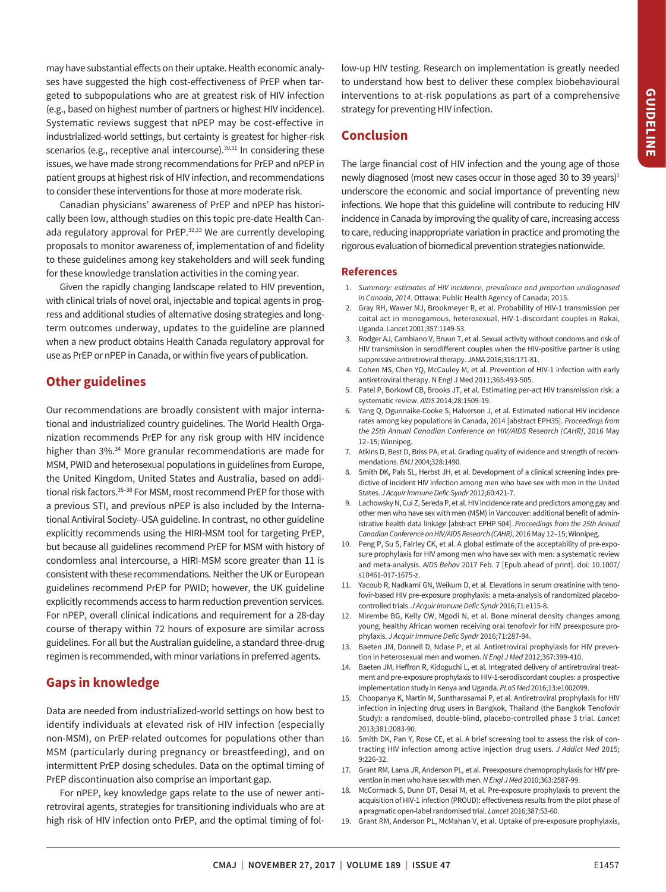may have substantial effects on their uptake. Health economic analyses have suggested the high cost-effectiveness of PrEP when targeted to subpopulations who are at greatest risk of HIV infection (e.g., based on highest number of partners or highest HIV incidence). Systematic reviews suggest that nPEP may be cost-effective in industrialized-world settings, but certainty is greatest for higher-risk scenarios (e.g., receptive anal intercourse).<sup>30,31</sup> In considering these issues, we have made strong recommendations for PrEP and nPEP in patient groups at highest risk of HIV infection, and recommendations to consider these interventions for those at more moderate risk.

Canadian physicians' awareness of PrEP and nPEP has historically been low, although studies on this topic pre-date Health Canada regulatory approval for PrEP.<sup>32,33</sup> We are currently developing proposals to monitor awareness of, implementation of and fidelity to these guidelines among key stakeholders and will seek funding for these knowledge translation activities in the coming year.

Given the rapidly changing landscape related to HIV prevention, with clinical trials of novel oral, injectable and topical agents in progress and additional studies of alternative dosing strategies and longterm outcomes underway, updates to the guideline are planned when a new product obtains Health Canada regulatory approval for use as PrEP or nPEP in Canada, or within five years of publication.

# **Other guidelines**

Our recommendations are broadly consistent with major international and industrialized country guidelines. The World Health Organization recommends PrEP for any risk group with HIV incidence higher than 3%.<sup>34</sup> More granular recommendations are made for MSM, PWID and heterosexual populations in guidelines from Europe, the United Kingdom, United States and Australia, based on additional risk factors.<sup>35-38</sup> For MSM, most recommend PrEP for those with a previous STI, and previous nPEP is also included by the International Antiviral Society–USA guideline. In contrast, no other guideline explicitly recommends using the HIRI-MSM tool for targeting PrEP, but because all guidelines recommend PrEP for MSM with history of condomless anal intercourse, a HIRI-MSM score greater than 11 is consistent with these recommendations. Neither the UK or European guidelines recommend PrEP for PWID; however, the UK guideline explicitly recommends access to harm reduction prevention services. For nPEP, overall clinical indications and requirement for a 28-day course of therapy within 72 hours of exposure are similar across guidelines. For all but the Australian guideline, a standard three-drug regimen is recommended, with minor variations in preferred agents.

# **Gaps in knowledge**

Data are needed from industrialized-world settings on how best to identify individuals at elevated risk of HIV infection (especially non-MSM), on PrEP-related outcomes for populations other than MSM (particularly during pregnancy or breastfeeding), and on intermittent PrEP dosing schedules. Data on the optimal timing of PrEP discontinuation also comprise an important gap.

For nPEP, key knowledge gaps relate to the use of newer antiretroviral agents, strategies for transitioning individuals who are at high risk of HIV infection onto PrEP, and the optimal timing of follow-up HIV testing. Research on implementation is greatly needed to understand how best to deliver these complex biobehavioural interventions to at-risk populations as part of a comprehensive strategy for preventing HIV infection.

# **Conclusion**

The large financial cost of HIV infection and the young age of those newly diagnosed (most new cases occur in those aged 30 to 39 years)<sup>1</sup> underscore the economic and social importance of preventing new infections. We hope that this guideline will contribute to reducing HIV incidence in Canada by improving the quality of care, increasing access to care, reducing inappropriate variation in practice and promoting the rigorous evaluation of biomedical prevention strategies nationwide.

# **References**

- 1. *Summary: estimates of HIV incidence, prevalence and proportion undiagnosed in Canada, 2014*. Ottawa: Public Health Agency of Canada; 2015.
- 2. Gray RH, Wawer MJ, Brookmeyer R, et al. Probability of HIV-1 transmission per coital act in monogamous, heterosexual, HIV-1-discordant couples in Rakai, Uganda. Lancet 2001;357:1149-53.
- 3. Rodger AJ, Cambiano V, Bruun T, et al. Sexual activity without condoms and risk of HIV transmission in serodifferent couples when the HIV-positive partner is using suppressive antiretroviral therapy. JAMA 2016;316:171-81.
- 4. Cohen MS, Chen YQ, McCauley M, et al. Prevention of HIV-1 infection with early antiretroviral therapy. N Engl J Med 2011;365:493-505.
- 5. Patel P, Borkowf CB, Brooks JT, et al. Estimating per-act HIV transmission risk: a systematic review. *AIDS* 2014;28:1509-19.
- 6. Yang Q, Ogunnaike-Cooke S, Halverson J, et al. Estimated national HIV incidence rates among key populations in Canada, 2014 [abstract EPH35]. *Proceedings from the 25th Annual Canadian Conference on HIV/AIDS Research (CAHR)*, 2016 May 12–15; Winnipeg.
- 7. Atkins D, Best D, Briss PA, et al. Grading quality of evidence and strength of recommendations. *BMJ* 2004;328:1490.
- Smith DK, Pals SL, Herbst JH, et al. Development of a clinical screening index predictive of incident HIV infection among men who have sex with men in the United States. *J Acquir Immune Defic Syndr* 2012;60:421-7.
- 9. Lachowsky N, Cui Z, Sereda P, et al. HIV incidence rate and predictors among gay and other men who have sex with men (MSM) in Vancouver: additional benefit of administrative health data linkage [abstract EPHP 504]. *Proceedings from the 25th Annual Canadian Conference on HIV/AIDS Research (CAHR)*, 2016 May 12–15; Winnipeg.
- 10. Peng P, Su S, Fairley CK, et al. A global estimate of the acceptability of pre-exposure prophylaxis for HIV among men who have sex with men: a systematic review and meta-analysis. *AIDS Behav* 2017 Feb. 7 [Epub ahead of print]. doi: 10.1007/ s10461-017-1675-z.
- 11. Yacoub R, Nadkarni GN, Weikum D, et al. Elevations in serum creatinine with tenofovir-based HIV pre-exposure prophylaxis: a meta-analysis of randomized placebocontrolled trials. *J Acquir Immune Defic Syndr* 2016;71:e115-8.
- 12. Mirembe BG, Kelly CW, Mgodi N, et al. Bone mineral density changes among young, healthy African women receiving oral tenofovir for HIV preexposure prophylaxis. *J Acquir Immune Defic Syndr* 2016;71:287-94.
- 13. Baeten JM, Donnell D, Ndase P, et al. Antiretroviral prophylaxis for HIV prevention in heterosexual men and women. *N Engl J Med* 2012;367:399-410.
- 14. Baeten JM, Heffron R, Kidoguchi L, et al. Integrated delivery of antiretroviral treatment and pre-exposure prophylaxis to HIV-1-serodiscordant couples: a prospective implementation study in Kenya and Uganda. *PLoS Med* 2016;13:e1002099.
- 15. Choopanya K, Martin M, Suntharasamai P, et al. Antiretroviral prophylaxis for HIV infection in injecting drug users in Bangkok, Thailand (the Bangkok Tenofovir Study): a randomised, double-blind, placebo-controlled phase 3 trial. *Lancet* 2013;381:2083-90.
- 16. Smith DK, Pan Y, Rose CE, et al. A brief screening tool to assess the risk of contracting HIV infection among active injection drug users. *J Addict Med* 2015; 9:226-32.
- 17. Grant RM, Lama JR, Anderson PL, et al. Preexposure chemoprophylaxis for HIV prevention in men who have sex with men. *N Engl J Med* 2010;363:2587-99.
- 18. McCormack S, Dunn DT, Desai M, et al. Pre-exposure prophylaxis to prevent the acquisition of HIV-1 infection (PROUD): effectiveness results from the pilot phase of a pragmatic open-label randomised trial. *Lancet* 2016;387:53-60.
- 19. Grant RM, Anderson PL, McMahan V, et al. Uptake of pre-exposure prophylaxis,